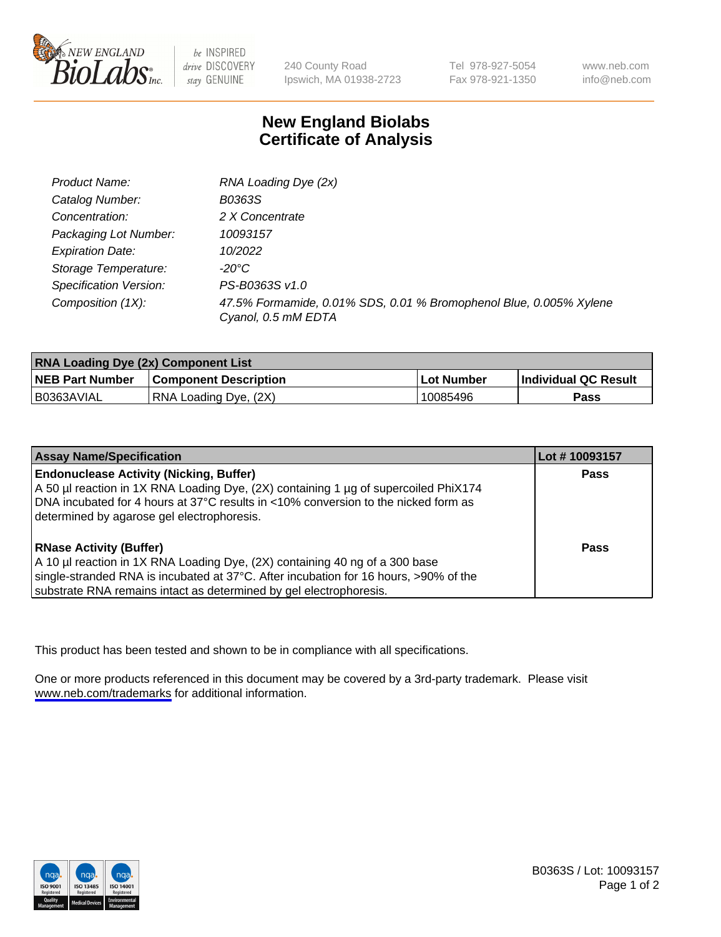

be INSPIRED drive DISCOVERY stay GENUINE

240 County Road Ipswich, MA 01938-2723

Tel 978-927-5054 Fax 978-921-1350

www.neb.com info@neb.com

## **New England Biolabs Certificate of Analysis**

| Product Name:           | RNA Loading Dye (2x)                                                                      |
|-------------------------|-------------------------------------------------------------------------------------------|
| Catalog Number:         | B0363S                                                                                    |
| Concentration:          | 2 X Concentrate                                                                           |
| Packaging Lot Number:   | 10093157                                                                                  |
| <b>Expiration Date:</b> | 10/2022                                                                                   |
| Storage Temperature:    | -20°C                                                                                     |
| Specification Version:  | PS-B0363S v1.0                                                                            |
| Composition (1X):       | 47.5% Formamide, 0.01% SDS, 0.01 % Bromophenol Blue, 0.005% Xylene<br>Cyanol, 0.5 mM EDTA |

| <b>RNA Loading Dye (2x) Component List</b> |                              |              |                      |  |
|--------------------------------------------|------------------------------|--------------|----------------------|--|
| <b>NEB Part Number</b>                     | <b>Component Description</b> | . Lot Number | Individual QC Result |  |
| B0363AVIAL                                 | RNA Loading Dye, (2X)        | 10085496     | <b>Pass</b>          |  |

| <b>Assay Name/Specification</b>                                                      | Lot #10093157 |
|--------------------------------------------------------------------------------------|---------------|
| <b>Endonuclease Activity (Nicking, Buffer)</b>                                       | <b>Pass</b>   |
| A 50 µl reaction in 1X RNA Loading Dye, (2X) containing 1 µg of supercoiled PhiX174  |               |
| DNA incubated for 4 hours at 37°C results in <10% conversion to the nicked form as   |               |
| determined by agarose gel electrophoresis.                                           |               |
| <b>RNase Activity (Buffer)</b>                                                       | Pass          |
| A 10 µl reaction in 1X RNA Loading Dye, (2X) containing 40 ng of a 300 base          |               |
| single-stranded RNA is incubated at 37°C. After incubation for 16 hours, >90% of the |               |
| substrate RNA remains intact as determined by gel electrophoresis.                   |               |

This product has been tested and shown to be in compliance with all specifications.

One or more products referenced in this document may be covered by a 3rd-party trademark. Please visit <www.neb.com/trademarks>for additional information.